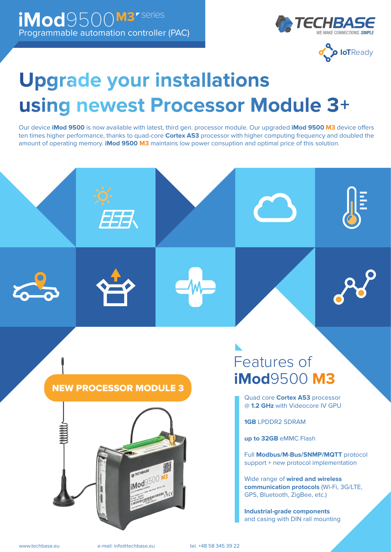



# **Upgrade your installations** using newest Processor Module 3+

Our device **iMod 9500** is now available with latest, third gen. processor module. Our upgraded *iMod 9500 M3* device offers ten times higher performance, thanks to quad-core **Cortex A53** processor with higher computing frequency and doubled the amount of operating memory. **iMod 9500 M3** maintains low power consuption and optimal price of this solution.



拐



# Features of **iMod**9500 **M3**

Quad core **Cortex A53** processor @ **1.2 GHz** with Videocore IV GPU

**1GB** LPDDR2 SDRAM

**up to 32GB** eMMC Flash

Full **Modbus/M-Bus/SNMP/MQTT** protocol support + new protocol implementation

Wide range of **wired and wireless communication protocols** (Wi-Fi, 3G/LTE, GPS, Bluetooth, ZigBee, etc.)

**Industrial-grade components** and casing with DIN rail mounting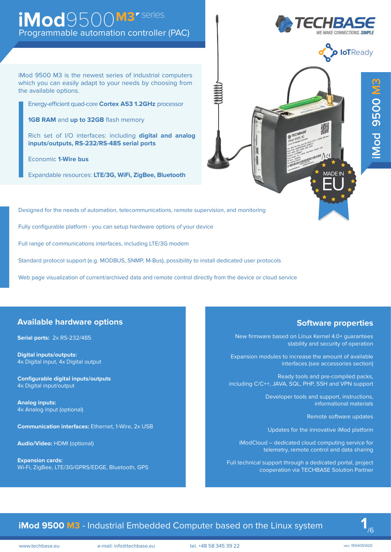# Programmable automation controller (PAC) iMod9500M3<sup>*r* series</sup>

iMod 9500 M3 is the newest series of industrial computers which you can easily adapt to your needs by choosing from the available options.

Energy-efficient quad-core **Cortex A53 1.2GHz** processor

**1GB RAM** and **up to 32GB** flash memory

Rich set of I/O interfaces: including **digital and analog inputs/outputs, RS-232/RS-485 serial ports**

Economic **1-Wire bus**

Expandable resources: **LTE/3G, WiFi, ZigBee, Bluetooth**

Designed for the needs of automation, telecommunications, remote supervision, and monitoring

Fully configurable platform - you can setup hardware options of your device

Full range of communications interfaces, including LTE/3G modem

Standard protocol support (e.g. MODBUS, SNMP, M-Bus), possibility to install dedicated user protocols

Web page visualization of current/archived data and remote control directly from the device or cloud service

#### **Available hardware options**

**Serial ports:** 2x RS-232/485

**Digital inputs/outputs:**  4x Digital input, 4x Digital output

**Configurable digital inputs/outputs** 4x Digital input/output

**Analog inputs:**  4x Analog input (optional)

**Communication interfaces:** Ethernet, 1-Wire, 2x USB

**Audio/Video:** HDMI (optional)

**Expansion cards:**  Wi-Fi, ZigBee, LTE/3G/GPRS/EDGE, Bluetooth, GPS

#### **Software properties**

MADE IN EU

New firmware based on Linux Kernel 4.0+ guarantees stability and security of operation

Expansion modules to increase the amount of available interfaces (see accessories section)

Ready tools and pre-compiled packs, including C/C++, JAVA, SQL, PHP, SSH and VPN support

> Developer tools and support, instructions, informational materials

> > Remote software updates

Updates for the innovative iMod platform

iModCloud – dedicated cloud computing service for telemetry, remote control and data sharing

Full technical support through a dedicated portal, project cooperation via TECHBASE Solution Partner

## **1Mod 9500 M3** - Industrial Embedded Computer based on the Linux system

www.techbase.eu e-mail: info@techbase.eu tel. +48 58 345 39 22 ver: 1904051420



**P loT**Ready

**iMod 9500 M3**

Mod 9500 M3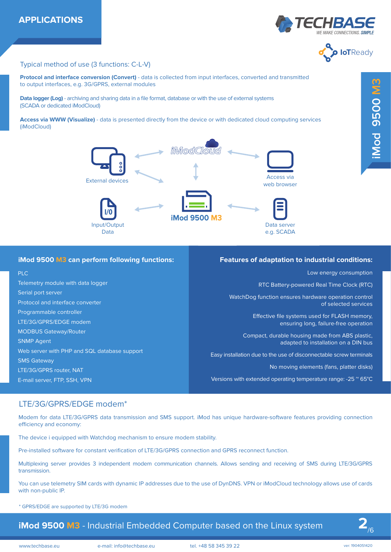



#### Typical method of use (3 functions: C-L-V)

**Protocol and interface conversion (Convert)** - data is collected from input interfaces, converted and transmitted to output interfaces, e.g. 3G/GPRS, external modules

**Data logger (Log)** - archiving and sharing data in a file format, database or with the use of external systems (SCADA or dedicated iModCloud)

**Access via WWW (Visualize)** - data is presented directly from the device or with dedicated cloud computing services (iModCloud)



#### **iMod 9500 M3 can perform following functions:**

#### PLC

Telemetry module with data logger Serial port server Protocol and interface converter Programmable controller LTE/3G/GPRS/EDGE modem MODBUS Gateway/Router SNMP Agent Web server with PHP and SQL database support SMS Gateway LTE/3G/GPRS router, NAT E-mail server, FTP, SSH, VPN

#### **Features of adaptation to industrial conditions:**

Low energy consumption

RTC Battery-powered Real Time Clock (RTC)

WatchDog function ensures hardware operation control of selected services

> Effective file systems used for FLASH memory, ensuring long, failure-free operation

Compact, durable housing made from ABS plastic, adapted to installation on a DIN bus

Easy installation due to the use of disconnectable screw terminals

No moving elements (fans, platter disks)

Versions with extended operating temperature range: -25  $^{\circ}$  65°C

#### LTE/3G/GPRS/EDGE modem\*

Modem for data LTE/3G/GPRS data transmission and SMS support. iMod has unique hardware-software features providing connection efficiency and economy:

The device i equipped with Watchdog mechanism to ensure modem stability.

Pre-installed software for constant verification of LTE/3G/GPRS connection and GPRS reconnect function.

Multiplexing server provides 3 independent modem communication channels. Allows sending and receiving of SMS during LTE/3G/GPRS transmission.

You can use telemetry SIM cards with dynamic IP addresses due to the use of DynDNS. VPN or iModCloud technology allows use of cards with non-public IP.

\* GPRS/EDGE are supported by LTE/3G modem

### **iMod 9500 M3** - Industrial Embedded Computer based on the Linux system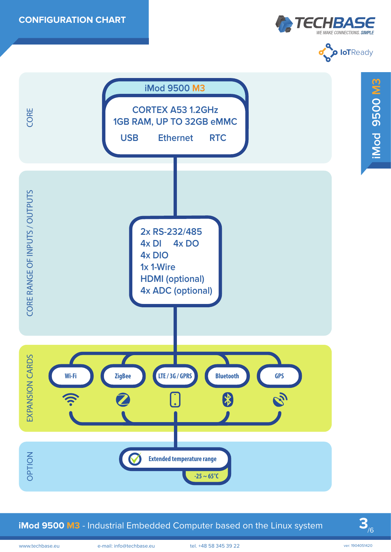





**iMod 9500 M3** - Industrial Embedded Computer based on the Linux system

**3**/6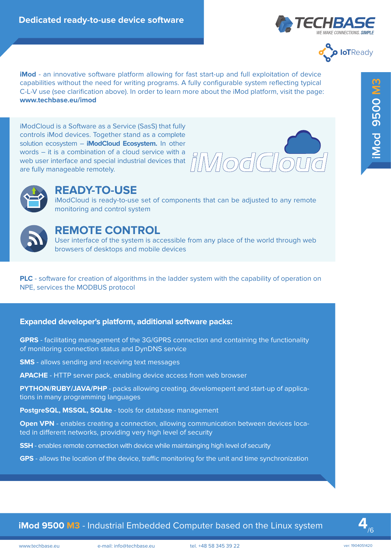



**iMod** - an innovative software platform allowing for fast start-up and full exploitation of device capabilities without the need for writing programs. A fully configurable system reflecting typical C-L-V use (see clarification above). In order to learn more about the iMod platform, visit the page: **www.techbase.eu/imod**

iModCloud is a Software as a Service (SasS) that fully controls iMod devices. Together stand as a complete solution ecosystem – **iModCloud Ecosystem.** In other words – it is a combination of a cloud service with a web user interface and special industrial devices that are fully manageable remotely. specifilities without its entail of the control of the control of the control of the control of the control of the control of the control of the control of the control of the control of the control of the control of the co





# **READY-TO-USE**

iModCloud is ready-to-use set of components that can be adjusted to any remote monitoring and control system



# **REMOTE CONTROL**

User interface of the system is accessible from any place of the world through web browsers of desktops and mobile devices

**PLC** - software for creation of algorithms in the ladder system with the capability of operation on NPE, services the MODBUS protocol

#### **Expanded developer's platform, additional software packs:**

**GPRS** - facilitating management of the 3G/GPRS connection and containing the functionality of monitoring connection status and DynDNS service

**SMS** - allows sending and receiving text messages

**APACHE** - HTTP server pack, enabling device access from web browser

**PYTHON/RUBY/JAVA/PHP** - packs allowing creating, develomepent and start-up of applications in many programming languages

**PostgreSQL, MSSQL, SQLite** - tools for database management

**Open VPN** - enables creating a connection, allowing communication between devices located in different networks, providing very high level of security

**SSH** - enables remote connection with device while maintainging high level of security

GPS - allows the location of the device, traffic monitoring for the unit and time synchronization

## **iMod 9500 M3** - Industrial Embedded Computer based on the Linux system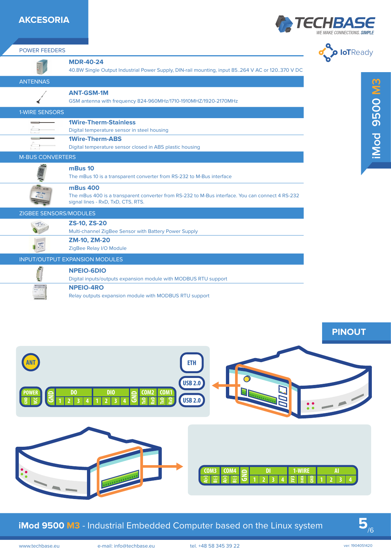### **AKCESORIA**

POWER FEEDERS





|                                                                      | <b>MDR-40-24</b>                                                                                                                                                   |                                                                                                  | $\bullet$       |
|----------------------------------------------------------------------|--------------------------------------------------------------------------------------------------------------------------------------------------------------------|--------------------------------------------------------------------------------------------------|-----------------|
| <b>ANTENNAS</b>                                                      |                                                                                                                                                                    | 40.8W Single Output Industrial Power Supply, DIN-rail mounting, input 85264 V AC or 120370 V DC  |                 |
|                                                                      | <b>ANT-GSM-1M</b>                                                                                                                                                  |                                                                                                  |                 |
|                                                                      | GSM antenna with frequency 824-960MHz/1710-1910MHZ/1920-2170MHz                                                                                                    |                                                                                                  |                 |
| 1-WIRE SENSORS                                                       |                                                                                                                                                                    |                                                                                                  | <b>SN 0050</b>  |
|                                                                      | <b>1Wire-Therm-Stainless</b>                                                                                                                                       |                                                                                                  |                 |
|                                                                      | Digital temperature sensor in steel housing<br><b>1Wire-Therm-ABS</b>                                                                                              |                                                                                                  |                 |
|                                                                      | Digital temperature sensor closed in ABS plastic housing                                                                                                           |                                                                                                  | iMod            |
| <b>M-BUS CONVERTERS</b>                                              |                                                                                                                                                                    |                                                                                                  |                 |
|                                                                      | mBus 10<br>The mBus 10 is a transparent converter from RS-232 to M-Bus interface                                                                                   |                                                                                                  |                 |
| . 999  . 000                                                         | <b>mBus 400</b><br>signal lines - RxD, TxD, CTS, RTS.                                                                                                              | The mBus 400 is a transparent converter from RS-232 to M-Bus interface. You can connect 4 RS-232 |                 |
| ZIGBEE SENSORS/MODULES                                               |                                                                                                                                                                    |                                                                                                  |                 |
| station of                                                           | <b>ZS-10, ZS-20</b>                                                                                                                                                |                                                                                                  |                 |
|                                                                      | Multi-channel ZigBee Sensor with Battery Power Supply<br><b>ZM-10, ZM-20</b>                                                                                       |                                                                                                  |                 |
| $\begin{array}{c}\n\mathbf{zig}^{\text{Bec}} \\ \hline\n\end{array}$ | ZigBee Relay I/O Module                                                                                                                                            |                                                                                                  |                 |
|                                                                      | <b>INPUT/OUTPUT EXPANSION MODULES</b>                                                                                                                              |                                                                                                  |                 |
|                                                                      | <b>NPEIO-6DIO</b><br>Digital inputs/outputs expansion module with MODBUS RTU support<br><b>NPEIO-4RO</b><br>Relay outputs expansion module with MODBUS RTU support |                                                                                                  |                 |
|                                                                      | D <sub>0</sub><br><b>DIO</b><br>COM <sub>1</sub><br>COM2                                                                                                           | <b>ETH</b><br><b>USB 2.0</b><br><b>USB 2.0</b>                                                   | <b>PINOUT</b>   |
|                                                                      |                                                                                                                                                                    | 1-WIRE<br>COM4<br>DI<br>COM3                                                                     | Al              |
|                                                                      |                                                                                                                                                                    | iMod 9500 M3 - Industrial Embedded Computer based on the Linux system                            |                 |
| www.techbase.eu                                                      | e-mail: info@techbase.eu                                                                                                                                           | tel. +48 58 345 39 22                                                                            | ver: 1904051420 |



# **iMod 9500 M3** - Industrial Embedded Computer based on the Linux system